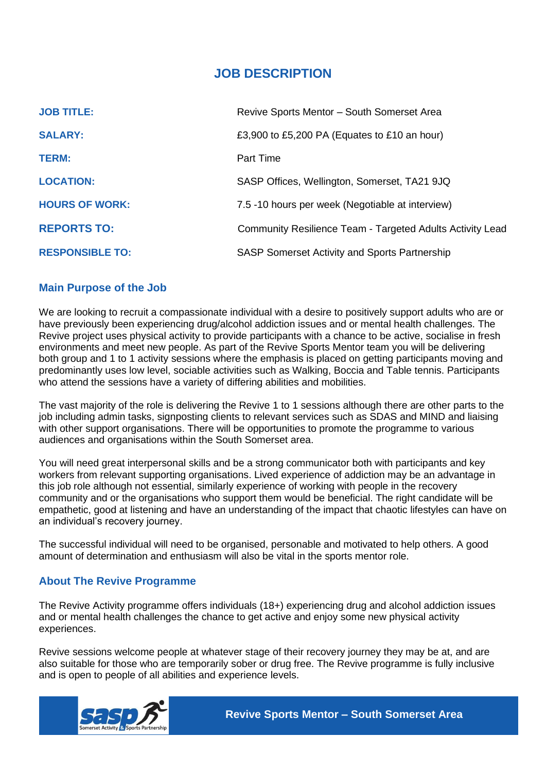# **JOB DESCRIPTION**

| <b>JOB TITLE:</b>      | Revive Sports Mentor - South Somerset Area                |
|------------------------|-----------------------------------------------------------|
| <b>SALARY:</b>         | £3,900 to £5,200 PA (Equates to £10 an hour)              |
| <b>TERM:</b>           | <b>Part Time</b>                                          |
| <b>LOCATION:</b>       | SASP Offices, Wellington, Somerset, TA21 9JQ              |
| <b>HOURS OF WORK:</b>  | 7.5 -10 hours per week (Negotiable at interview)          |
| <b>REPORTS TO:</b>     | Community Resilience Team - Targeted Adults Activity Lead |
| <b>RESPONSIBLE TO:</b> | SASP Somerset Activity and Sports Partnership             |

#### **Main Purpose of the Job**

We are looking to recruit a compassionate individual with a desire to positively support adults who are or have previously been experiencing drug/alcohol addiction issues and or mental health challenges. The Revive project uses physical activity to provide participants with a chance to be active, socialise in fresh environments and meet new people. As part of the Revive Sports Mentor team you will be delivering both group and 1 to 1 activity sessions where the emphasis is placed on getting participants moving and predominantly uses low level, sociable activities such as Walking, Boccia and Table tennis. Participants who attend the sessions have a variety of differing abilities and mobilities.

The vast majority of the role is delivering the Revive 1 to 1 sessions although there are other parts to the job including admin tasks, signposting clients to relevant services such as SDAS and MIND and liaising with other support organisations. There will be opportunities to promote the programme to various audiences and organisations within the South Somerset area.

You will need great interpersonal skills and be a strong communicator both with participants and key workers from relevant supporting organisations. Lived experience of addiction may be an advantage in this job role although not essential, similarly experience of working with people in the recovery community and or the organisations who support them would be beneficial. The right candidate will be empathetic, good at listening and have an understanding of the impact that chaotic lifestyles can have on an individual's recovery journey.

The successful individual will need to be organised, personable and motivated to help others. A good amount of determination and enthusiasm will also be vital in the sports mentor role.

#### **About The Revive Programme**

The Revive Activity programme offers individuals (18+) experiencing drug and alcohol addiction issues and or mental health challenges the chance to get active and enjoy some new physical activity experiences.

Revive sessions welcome people at whatever stage of their recovery journey they may be at, and are also suitable for those who are temporarily sober or drug free. The Revive programme is fully inclusive and is open to people of all abilities and experience levels.



**Revive Sports Mentor – South Somerset Area**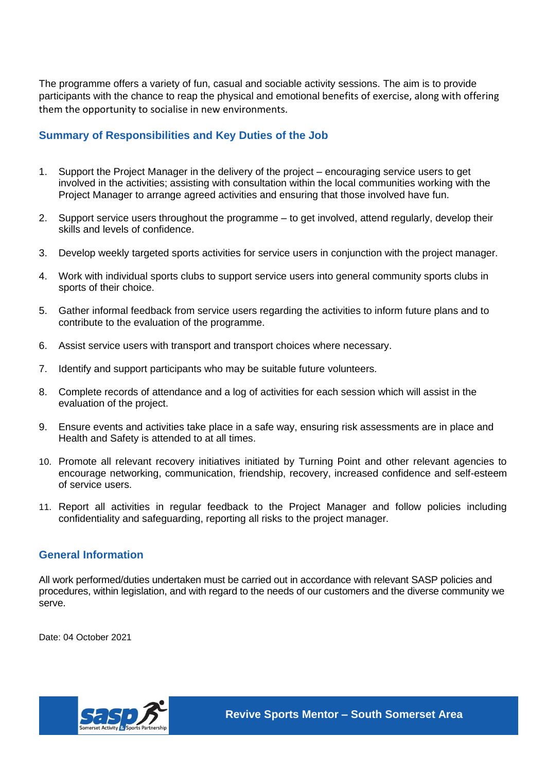The programme offers a variety of fun, casual and sociable activity sessions. The aim is to provide participants with the chance to reap the physical and emotional benefits of exercise, along with offering them the opportunity to socialise in new environments.

#### **Summary of Responsibilities and Key Duties of the Job**

- 1. Support the Project Manager in the delivery of the project encouraging service users to get involved in the activities; assisting with consultation within the local communities working with the Project Manager to arrange agreed activities and ensuring that those involved have fun.
- 2. Support service users throughout the programme to get involved, attend regularly, develop their skills and levels of confidence.
- 3. Develop weekly targeted sports activities for service users in conjunction with the project manager.
- 4. Work with individual sports clubs to support service users into general community sports clubs in sports of their choice.
- 5. Gather informal feedback from service users regarding the activities to inform future plans and to contribute to the evaluation of the programme.
- 6. Assist service users with transport and transport choices where necessary.
- 7. Identify and support participants who may be suitable future volunteers.
- 8. Complete records of attendance and a log of activities for each session which will assist in the evaluation of the project.
- 9. Ensure events and activities take place in a safe way, ensuring risk assessments are in place and Health and Safety is attended to at all times.
- 10. Promote all relevant recovery initiatives initiated by Turning Point and other relevant agencies to encourage networking, communication, friendship, recovery, increased confidence and self-esteem of service users.
- 11. Report all activities in regular feedback to the Project Manager and follow policies including confidentiality and safeguarding, reporting all risks to the project manager.

#### **General Information**

All work performed/duties undertaken must be carried out in accordance with relevant SASP policies and procedures, within legislation, and with regard to the needs of our customers and the diverse community we serve.

Date: 04 October 2021